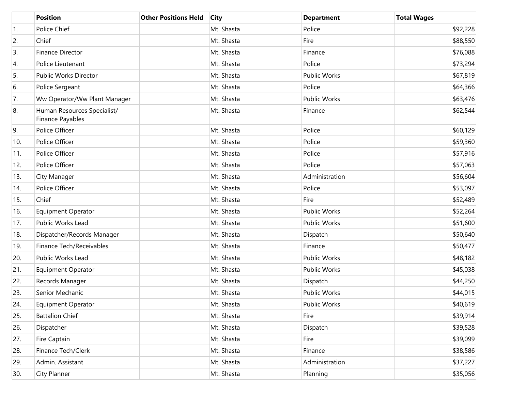|     | <b>Position</b>                                 | <b>Other Positions Held</b> | <b>City</b> | <b>Department</b>   | <b>Total Wages</b> |
|-----|-------------------------------------------------|-----------------------------|-------------|---------------------|--------------------|
| 1.  | Police Chief                                    |                             | Mt. Shasta  | Police              | \$92,228           |
| 2.  | Chief                                           |                             | Mt. Shasta  | Fire                | \$88,550           |
| 3.  | <b>Finance Director</b>                         |                             | Mt. Shasta  | Finance             | \$76,088           |
| 4.  | Police Lieutenant                               |                             | Mt. Shasta  | Police              | \$73,294           |
| 5.  | Public Works Director                           |                             | Mt. Shasta  | Public Works        | \$67,819           |
| 6.  | Police Sergeant                                 |                             | Mt. Shasta  | Police              | \$64,366           |
| 7.  | Ww Operator/Ww Plant Manager                    |                             | Mt. Shasta  | Public Works        | \$63,476           |
| 8.  | Human Resources Specialist/<br>Finance Payables |                             | Mt. Shasta  | Finance             | \$62,544           |
| 9.  | Police Officer                                  |                             | Mt. Shasta  | Police              | \$60,129           |
| 10. | Police Officer                                  |                             | Mt. Shasta  | Police              | \$59,360           |
| 11. | Police Officer                                  |                             | Mt. Shasta  | Police              | \$57,916           |
| 12. | Police Officer                                  |                             | Mt. Shasta  | Police              | \$57,063           |
| 13. | City Manager                                    |                             | Mt. Shasta  | Administration      | \$56,604           |
| 14. | Police Officer                                  |                             | Mt. Shasta  | Police              | \$53,097           |
| 15. | Chief                                           |                             | Mt. Shasta  | Fire                | \$52,489           |
| 16. | <b>Equipment Operator</b>                       |                             | Mt. Shasta  | Public Works        | \$52,264           |
| 17. | Public Works Lead                               |                             | Mt. Shasta  | Public Works        | \$51,600           |
| 18. | Dispatcher/Records Manager                      |                             | Mt. Shasta  | Dispatch            | \$50,640           |
| 19. | Finance Tech/Receivables                        |                             | Mt. Shasta  | Finance             | \$50,477           |
| 20. | Public Works Lead                               |                             | Mt. Shasta  | Public Works        | \$48,182           |
| 21. | <b>Equipment Operator</b>                       |                             | Mt. Shasta  | Public Works        | \$45,038           |
| 22. | Records Manager                                 |                             | Mt. Shasta  | Dispatch            | \$44,250           |
| 23. | Senior Mechanic                                 |                             | Mt. Shasta  | Public Works        | \$44,015           |
| 24. | <b>Equipment Operator</b>                       |                             | Mt. Shasta  | <b>Public Works</b> | \$40,619           |
| 25. | <b>Battalion Chief</b>                          |                             | Mt. Shasta  | Fire                | \$39,914           |
| 26. | Dispatcher                                      |                             | Mt. Shasta  | Dispatch            | \$39,528           |
| 27. | Fire Captain                                    |                             | Mt. Shasta  | Fire                | \$39,099           |
| 28. | Finance Tech/Clerk                              |                             | Mt. Shasta  | Finance             | \$38,586           |
| 29. | Admin. Assistant                                |                             | Mt. Shasta  | Administration      | \$37,227           |
| 30. | City Planner                                    |                             | Mt. Shasta  | Planning            | \$35,056           |